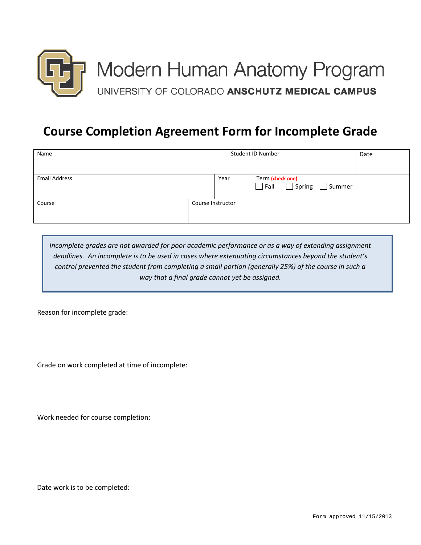

## **Course Completion Agreement Form for Incomplete Grade**

| Name                 |                   | Student ID Number |  | Date                                      |  |
|----------------------|-------------------|-------------------|--|-------------------------------------------|--|
| <b>Email Address</b> |                   | Year              |  | Term (check one)<br>Spring Summer<br>Fall |  |
| Course               | Course Instructor |                   |  |                                           |  |

*Incomplete grades are not awarded for poor academic performance or as a way of extending assignment deadlines. An incomplete is to be used in cases where extenuating circumstances beyond the student's control prevented the student from completing a small portion (generally 25%) of the course in such a way that a final grade cannot yet be assigned.*

Reason for incomplete grade:

Grade on work completed at time of incomplete:

Work needed for course completion:

Date work is to be completed: